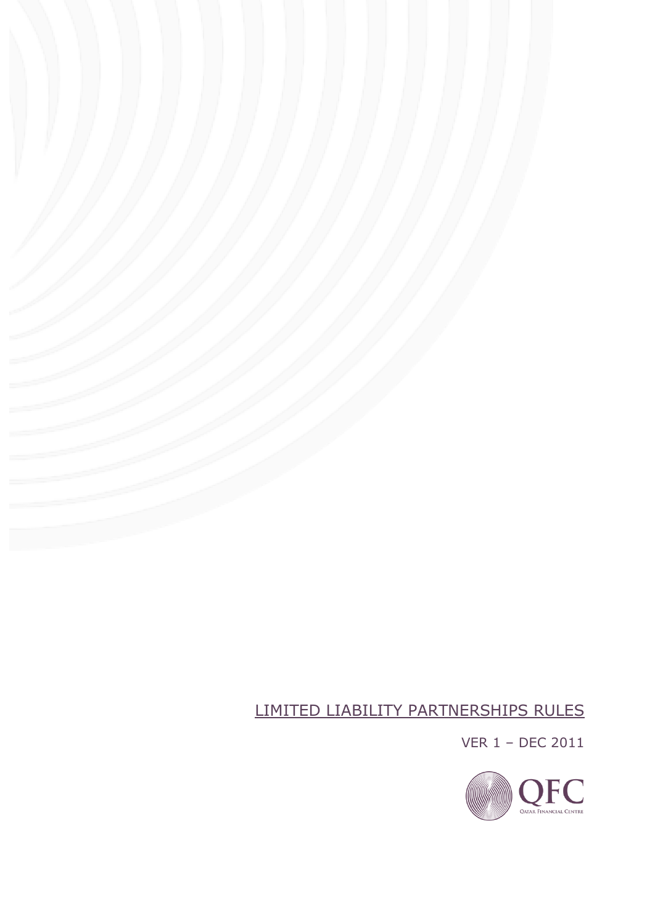# LIMITED LIABILITY PARTNERSHIPS RULES

VER 1 – DEC 2011

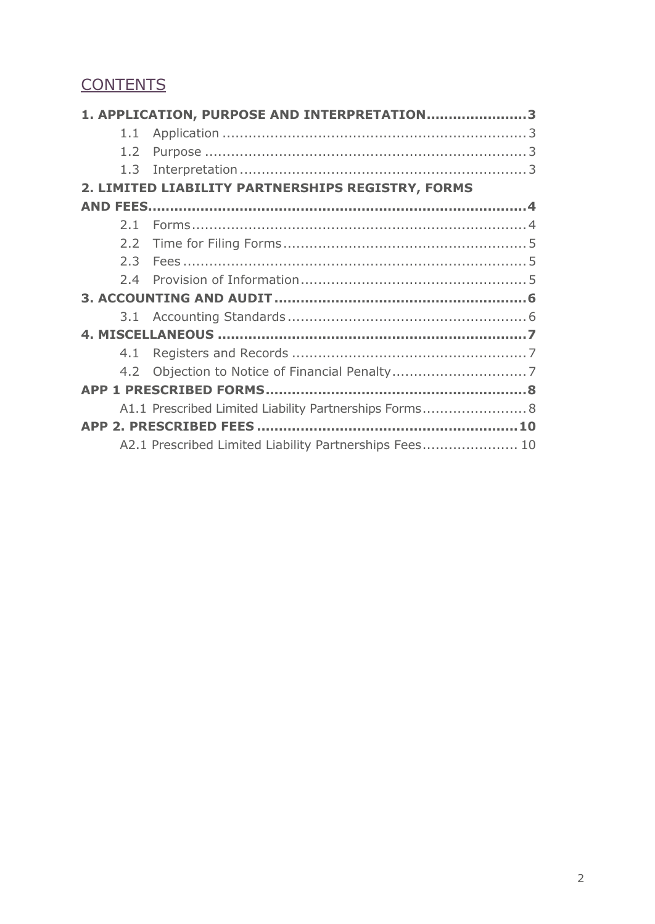# **CONTENTS**

|                                                   | 1. APPLICATION, PURPOSE AND INTERPRETATION3            |  |  |  |
|---------------------------------------------------|--------------------------------------------------------|--|--|--|
|                                                   |                                                        |  |  |  |
|                                                   |                                                        |  |  |  |
|                                                   |                                                        |  |  |  |
| 2. LIMITED LIABILITY PARTNERSHIPS REGISTRY, FORMS |                                                        |  |  |  |
|                                                   |                                                        |  |  |  |
|                                                   |                                                        |  |  |  |
|                                                   |                                                        |  |  |  |
|                                                   |                                                        |  |  |  |
|                                                   |                                                        |  |  |  |
|                                                   |                                                        |  |  |  |
|                                                   |                                                        |  |  |  |
|                                                   |                                                        |  |  |  |
|                                                   |                                                        |  |  |  |
|                                                   |                                                        |  |  |  |
|                                                   |                                                        |  |  |  |
|                                                   | A1.1 Prescribed Limited Liability Partnerships Forms 8 |  |  |  |
|                                                   |                                                        |  |  |  |
|                                                   | A2.1 Prescribed Limited Liability Partnerships Fees 10 |  |  |  |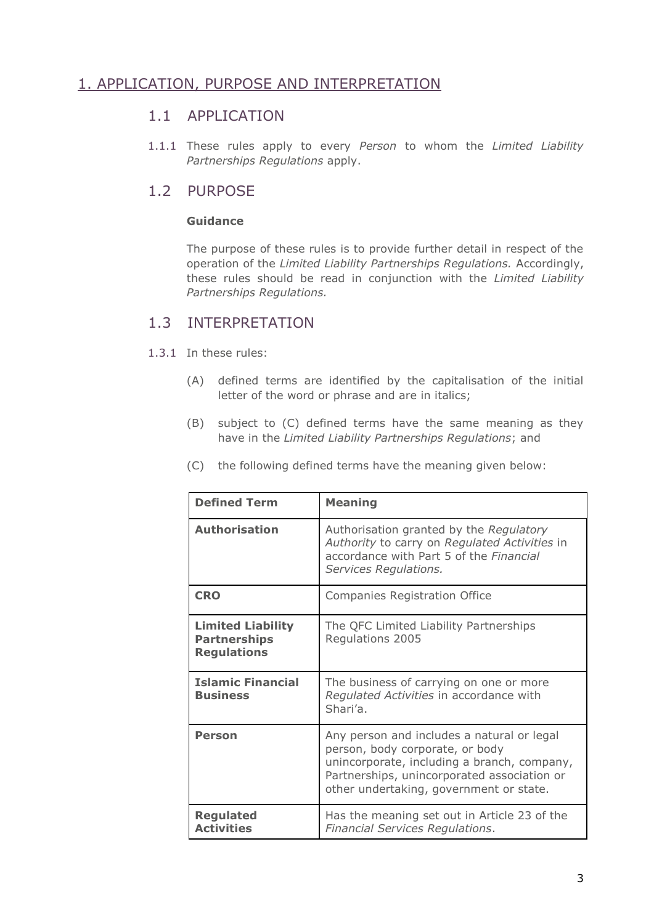# 1. APPLICATION, PURPOSE AND INTERPRETATION

### 1.1 APPLICATION

1.1.1 These rules apply to every *Person* to whom the *Limited Liability Partnerships Regulations* apply.

### 1.2 PURPOSE

#### **Guidance**

The purpose of these rules is to provide further detail in respect of the operation of the *Limited Liability Partnerships Regulations.* Accordingly, these rules should be read in conjunction with the *Limited Liability Partnerships Regulations.*

### 1.3 INTERPRETATION

- 1.3.1 In these rules:
	- (A) defined terms are identified by the capitalisation of the initial letter of the word or phrase and are in italics;
	- (B) subject to (C) defined terms have the same meaning as they have in the *Limited Liability Partnerships Regulations*; and

| <b>Defined Term</b>                                                   | <b>Meaning</b>                                                                                                                                                                                                         |  |
|-----------------------------------------------------------------------|------------------------------------------------------------------------------------------------------------------------------------------------------------------------------------------------------------------------|--|
| <b>Authorisation</b>                                                  | Authorisation granted by the Regulatory<br>Authority to carry on Regulated Activities in<br>accordance with Part 5 of the Financial<br>Services Regulations.                                                           |  |
| <b>CRO</b>                                                            | <b>Companies Registration Office</b>                                                                                                                                                                                   |  |
| <b>Limited Liability</b><br><b>Partnerships</b><br><b>Regulations</b> | The QFC Limited Liability Partnerships<br>Regulations 2005                                                                                                                                                             |  |
| <b>Islamic Financial</b><br><b>Business</b>                           | The business of carrying on one or more<br>Regulated Activities in accordance with<br>Shari'a.                                                                                                                         |  |
| <b>Person</b>                                                         | Any person and includes a natural or legal<br>person, body corporate, or body<br>unincorporate, including a branch, company,<br>Partnerships, unincorporated association or<br>other undertaking, government or state. |  |
| <b>Regulated</b><br><b>Activities</b>                                 | Has the meaning set out in Article 23 of the<br>Financial Services Regulations.                                                                                                                                        |  |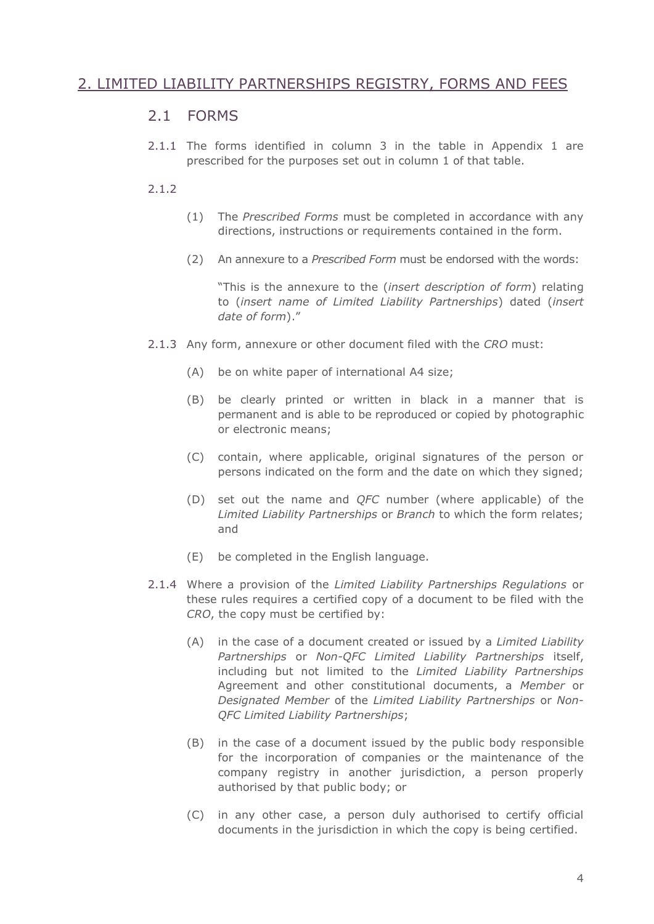# 2. LIMITED LIABILITY PARTNERSHIPS REGISTRY, FORMS AND FEES

### 2.1 FORMS

2.1.1 The forms identified in column 3 in the table in Appendix 1 are prescribed for the purposes set out in column 1 of that table.

#### 2.1.2

- (1) The *Prescribed Forms* must be completed in accordance with any directions, instructions or requirements contained in the form.
- (2) An annexure to a *Prescribed Form* must be endorsed with the words:

"This is the annexure to the (*insert description of form*) relating to (*insert name of Limited Liability Partnerships*) dated (*insert date of form*)."

- 2.1.3 Any form, annexure or other document filed with the *CRO* must:
	- (A) be on white paper of international A4 size;
	- (B) be clearly printed or written in black in a manner that is permanent and is able to be reproduced or copied by photographic or electronic means;
	- (C) contain, where applicable, original signatures of the person or persons indicated on the form and the date on which they signed;
	- (D) set out the name and *QFC* number (where applicable) of the *Limited Liability Partnerships* or *Branch* to which the form relates; and
	- (E) be completed in the English language.
- 2.1.4 Where a provision of the *Limited Liability Partnerships Regulations* or these rules requires a certified copy of a document to be filed with the *CRO*, the copy must be certified by:
	- (A) in the case of a document created or issued by a *Limited Liability Partnerships* or *Non-QFC Limited Liability Partnerships* itself, including but not limited to the *Limited Liability Partnerships* Agreement and other constitutional documents, a *Member* or *Designated Member* of the *Limited Liability Partnerships* or *Non-QFC Limited Liability Partnerships*;
	- (B) in the case of a document issued by the public body responsible for the incorporation of companies or the maintenance of the company registry in another jurisdiction, a person properly authorised by that public body; or
	- (C) in any other case, a person duly authorised to certify official documents in the jurisdiction in which the copy is being certified.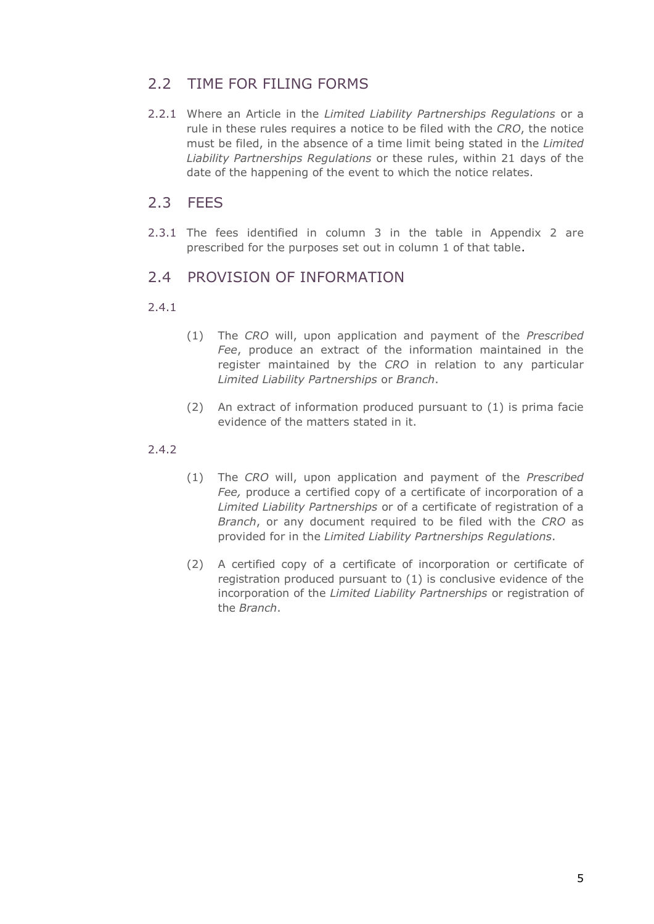# 2.2 TIME FOR FILING FORMS

2.2.1 Where an Article in the *Limited Liability Partnerships Regulations* or a rule in these rules requires a notice to be filed with the *CRO*, the notice must be filed, in the absence of a time limit being stated in the *Limited Liability Partnerships Regulations* or these rules, within 21 days of the date of the happening of the event to which the notice relates.

### 2.3 FEES

2.3.1 The fees identified in column 3 in the table in Appendix 2 are prescribed for the purposes set out in column 1 of that table.

## 2.4 PROVISION OF INFORMATION

#### 2.4.1

- (1) The *CRO* will, upon application and payment of the *Prescribed Fee*, produce an extract of the information maintained in the register maintained by the *CRO* in relation to any particular *Limited Liability Partnerships* or *Branch*.
- (2) An extract of information produced pursuant to (1) is prima facie evidence of the matters stated in it.

#### 2.4.2

- (1) The *CRO* will, upon application and payment of the *Prescribed Fee,* produce a certified copy of a certificate of incorporation of a *Limited Liability Partnerships* or of a certificate of registration of a *Branch*, or any document required to be filed with the *CRO* as provided for in the *Limited Liability Partnerships Regulations*.
- (2) A certified copy of a certificate of incorporation or certificate of registration produced pursuant to (1) is conclusive evidence of the incorporation of the *Limited Liability Partnerships* or registration of the *Branch*.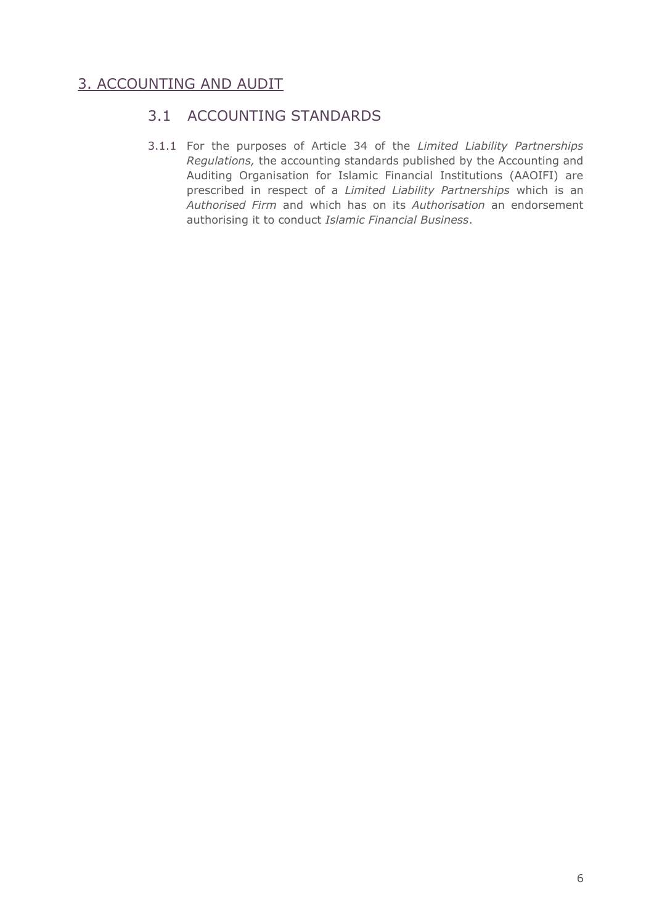# 3. ACCOUNTING AND AUDIT

## 3.1 ACCOUNTING STANDARDS

3.1.1 For the purposes of Article 34 of the *Limited Liability Partnerships Regulations,* the accounting standards published by the Accounting and Auditing Organisation for Islamic Financial Institutions (AAOIFI) are prescribed in respect of a *Limited Liability Partnerships* which is an *Authorised Firm* and which has on its *Authorisation* an endorsement authorising it to conduct *Islamic Financial Business*.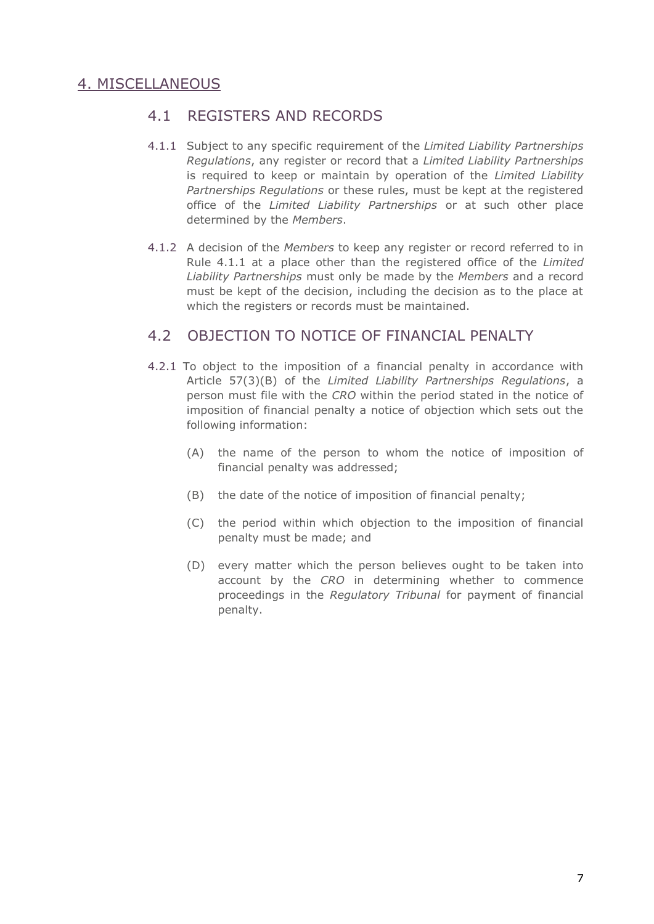# 4. MISCELLANEOUS

### 4.1 REGISTERS AND RECORDS

- 4.1.1 Subject to any specific requirement of the *Limited Liability Partnerships Regulations*, any register or record that a *Limited Liability Partnerships* is required to keep or maintain by operation of the *Limited Liability Partnerships Regulations* or these rules, must be kept at the registered office of the *Limited Liability Partnerships* or at such other place determined by the *Members*.
- 4.1.2 A decision of the *Members* to keep any register or record referred to in Rule 4.1.1 at a place other than the registered office of the *Limited Liability Partnerships* must only be made by the *Members* and a record must be kept of the decision, including the decision as to the place at which the registers or records must be maintained.

### 4.2 OBJECTION TO NOTICE OF FINANCIAL PENALTY

- 4.2.1 To object to the imposition of a financial penalty in accordance with Article 57(3)(B) of the *Limited Liability Partnerships Regulations*, a person must file with the *CRO* within the period stated in the notice of imposition of financial penalty a notice of objection which sets out the following information:
	- (A) the name of the person to whom the notice of imposition of financial penalty was addressed;
	- (B) the date of the notice of imposition of financial penalty;
	- (C) the period within which objection to the imposition of financial penalty must be made; and
	- (D) every matter which the person believes ought to be taken into account by the *CRO* in determining whether to commence proceedings in the *Regulatory Tribunal* for payment of financial penalty.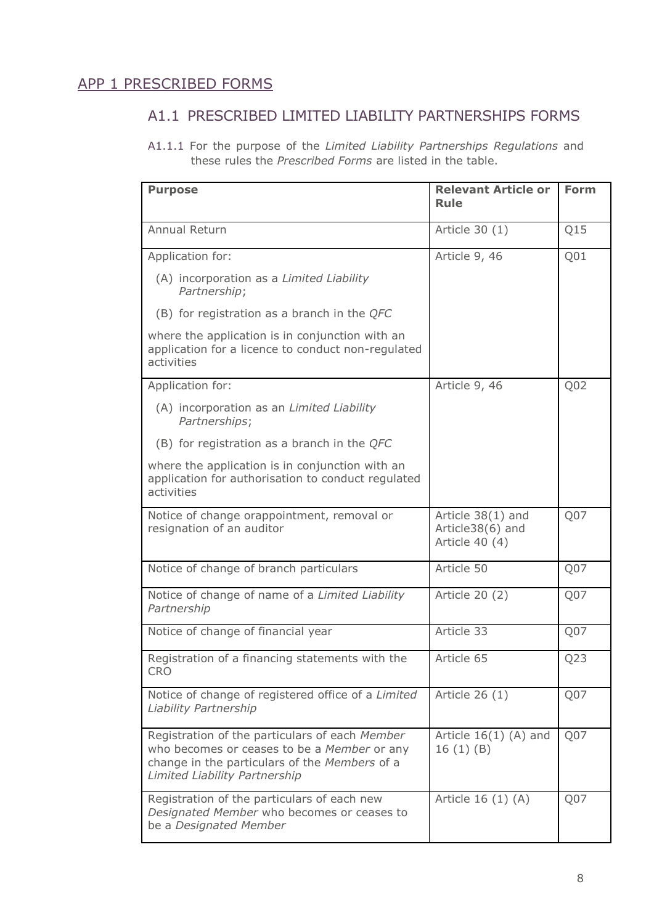# APP 1 PRESCRIBED FORMS

# A1.1 PRESCRIBED LIMITED LIABILITY PARTNERSHIPS FORMS

A1.1.1 For the purpose of the *Limited Liability Partnerships Regulations* and these rules the *Prescribed Forms* are listed in the table.

| <b>Purpose</b>                                                                                                                                                                  | <b>Relevant Article or</b><br>Rule                      | <b>Form</b>     |
|---------------------------------------------------------------------------------------------------------------------------------------------------------------------------------|---------------------------------------------------------|-----------------|
| Annual Return                                                                                                                                                                   | Article 30 (1)                                          | Q15             |
| Application for:                                                                                                                                                                | Article 9, 46                                           | Q <sub>01</sub> |
| (A) incorporation as a Limited Liability<br>Partnership;                                                                                                                        |                                                         |                 |
| (B) for registration as a branch in the $QFC$                                                                                                                                   |                                                         |                 |
| where the application is in conjunction with an<br>application for a licence to conduct non-regulated<br>activities                                                             |                                                         |                 |
| Application for:                                                                                                                                                                | Article 9, 46                                           | Q <sub>02</sub> |
| (A) incorporation as an Limited Liability<br>Partnerships;                                                                                                                      |                                                         |                 |
| (B) for registration as a branch in the $QFC$                                                                                                                                   |                                                         |                 |
| where the application is in conjunction with an<br>application for authorisation to conduct regulated<br>activities                                                             |                                                         |                 |
| Notice of change orappointment, removal or<br>resignation of an auditor                                                                                                         | Article 38(1) and<br>Article38(6) and<br>Article 40 (4) | Q07             |
| Notice of change of branch particulars                                                                                                                                          | Article 50                                              | Q07             |
| Notice of change of name of a Limited Liability<br>Partnership                                                                                                                  | Article 20 (2)                                          | Q <sub>07</sub> |
| Notice of change of financial year                                                                                                                                              | Article 33                                              | Q07             |
| Registration of a financing statements with the<br><b>CRO</b>                                                                                                                   | Article 65                                              | Q23             |
| Notice of change of registered office of a Limited<br>Liability Partnership                                                                                                     | Article 26 (1)                                          | Q07             |
| Registration of the particulars of each Member<br>who becomes or ceases to be a Member or any<br>change in the particulars of the Members of a<br>Limited Liability Partnership | Article $16(1)$ (A) and<br>16(1)(B)                     | Q07             |
| Registration of the particulars of each new<br>Designated Member who becomes or ceases to<br>be a Designated Member                                                             | Article 16 (1) (A)                                      | Q07             |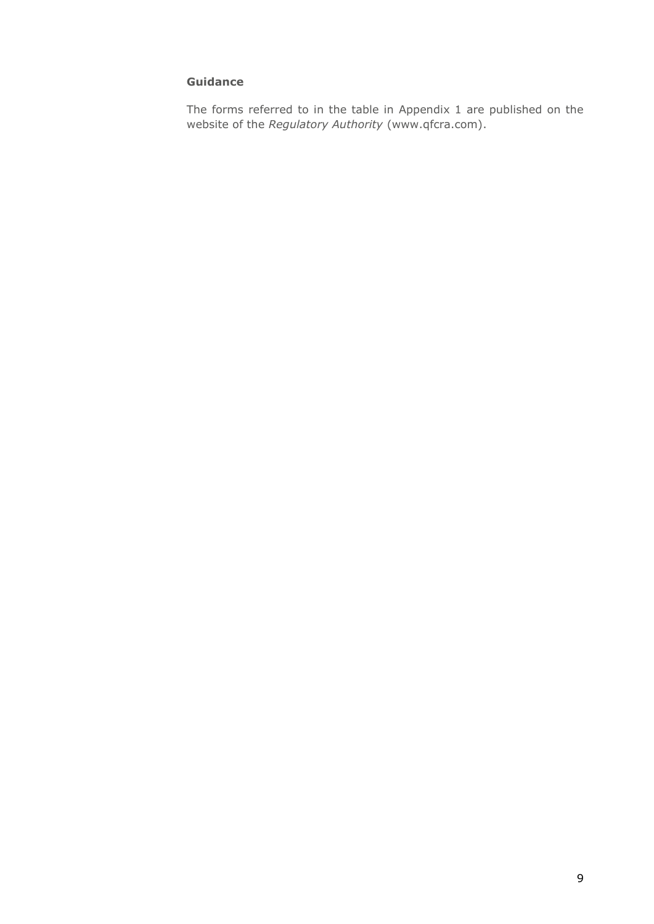#### **Guidance**

The forms referred to in the table in Appendix 1 are published on the website of the *Regulatory Authority* [\(www.qfcra.com\)](http://www.qfcra.com/).